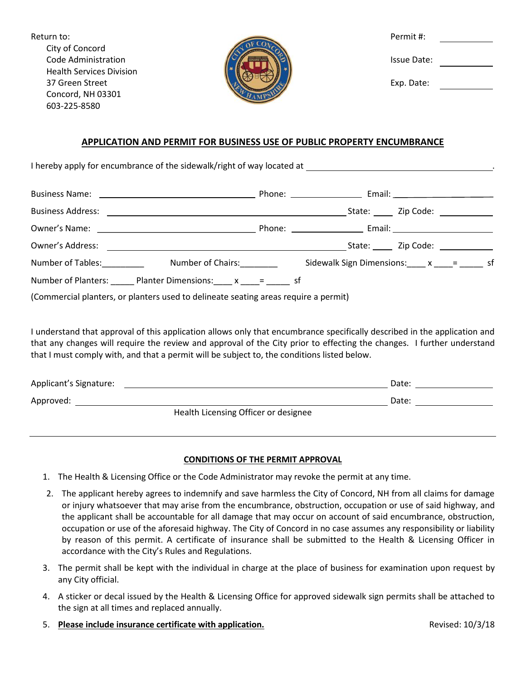Return to: Permit #: City of Concord Code Administration **ISSUE 2018 18:00 Date:** ISSUE Date: Health Services Division 37 Green Street Exp. Date: Concord, NH 03301 603-225-8580



## **APPLICATION AND PERMIT FOR BUSINESS USE OF PUBLIC PROPERTY ENCUMBRANCE**

I hereby apply for encumbrance of the sidewalk/right of way located at .

|                   | Business Name: Name: Name and South Assembly Department of Phone: Name and South Phone and South Phone and South Phone and South Phone and South Phone and South Phone and South Phone and South Phone and South Phone and Sou |  |                                      |                         |  |
|-------------------|--------------------------------------------------------------------------------------------------------------------------------------------------------------------------------------------------------------------------------|--|--------------------------------------|-------------------------|--|
|                   |                                                                                                                                                                                                                                |  | State: Zip Code:                     |                         |  |
|                   |                                                                                                                                                                                                                                |  |                                      |                         |  |
|                   |                                                                                                                                                                                                                                |  |                                      | State: <u>Zip Code:</u> |  |
| Number of Tables: | Number of Chairs:                                                                                                                                                                                                              |  | Sidewalk Sign Dimensions: x = _ _ sf |                         |  |
|                   | Number of Planters: Planter Dimensions: x = sf                                                                                                                                                                                 |  |                                      |                         |  |
|                   | (Commercial planters, or planters used to delineate seating areas require a permit)                                                                                                                                            |  |                                      |                         |  |

I understand that approval of this application allows only that encumbrance specifically described in the application and that any changes will require the review and approval of the City prior to effecting the changes. I further understand that I must comply with, and that a permit will be subject to, the conditions listed below.

| Applicant's Signature:               | Date: |
|--------------------------------------|-------|
| Approved:                            | Date: |
| Health Licensing Officer or designee |       |

## **CONDITIONS OF THE PERMIT APPROVAL**

- 1. The Health & Licensing Office or the Code Administrator may revoke the permit at any time.
- 2. The applicant hereby agrees to indemnify and save harmless the City of Concord, NH from all claims for damage or injury whatsoever that may arise from the encumbrance, obstruction, occupation or use of said highway, and the applicant shall be accountable for all damage that may occur on account of said encumbrance, obstruction, occupation or use of the aforesaid highway. The City of Concord in no case assumes any responsibility or liability by reason of this permit. A certificate of insurance shall be submitted to the Health & Licensing Officer in accordance with the City's Rules and Regulations.
- 3. The permit shall be kept with the individual in charge at the place of business for examination upon request by any City official.
- 4. A sticker or decal issued by the Health & Licensing Office for approved sidewalk sign permits shall be attached to the sign at all times and replaced annually.
- 5. **Please include insurance certificate with application.** Revised: 10/3/18